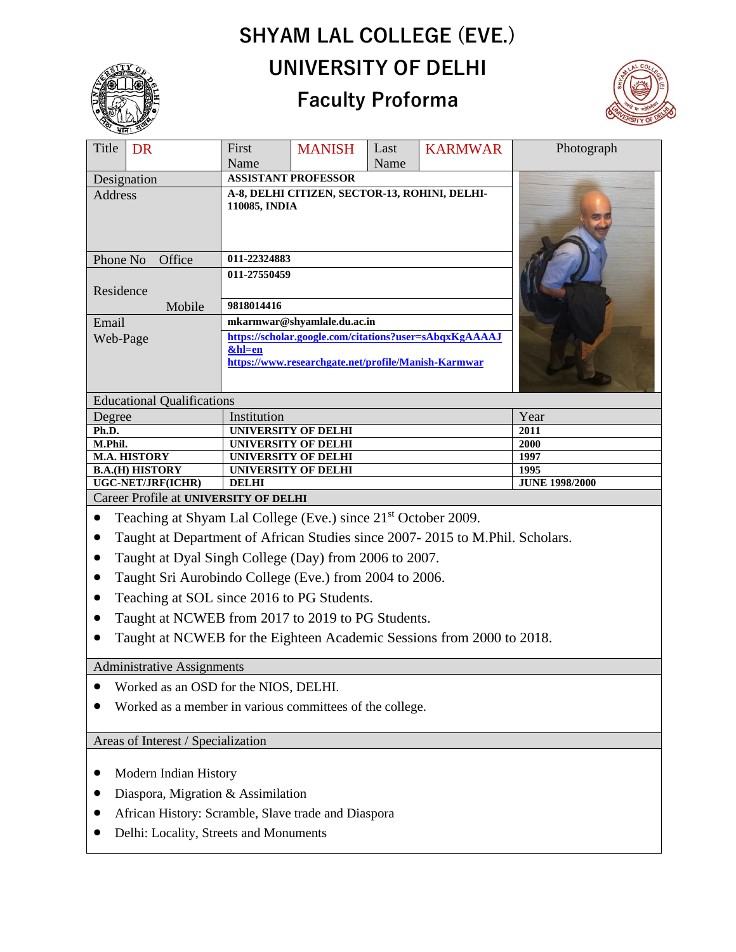# **SHYAM LAL COLLEGE (EVE.) UNIVERSITY OF DELHI**

# **Faculty Proforma**



|                                                                                           | ্ধনি: ১০  |                                                                  |               |      |                |                               |
|-------------------------------------------------------------------------------------------|-----------|------------------------------------------------------------------|---------------|------|----------------|-------------------------------|
| Title                                                                                     | <b>DR</b> | First                                                            | <b>MANISH</b> | Last | <b>KARMWAR</b> | Photograph                    |
|                                                                                           |           | Name                                                             |               | Name |                |                               |
| Designation                                                                               |           | <b>ASSISTANT PROFESSOR</b>                                       |               |      |                |                               |
| Address                                                                                   |           | A-8, DELHI CITIZEN, SECTOR-13, ROHINI, DELHI-<br>110085, INDIA   |               |      |                |                               |
| Phone No<br>Office                                                                        |           | 011-22324883                                                     |               |      |                |                               |
| Residence                                                                                 |           | 011-27550459<br>9818014416                                       |               |      |                |                               |
|                                                                                           | Mobile    |                                                                  |               |      |                |                               |
| Email                                                                                     |           | mkarmwar@shyamlale.du.ac.in                                      |               |      |                |                               |
| Web-Page                                                                                  |           | https://scholar.google.com/citations?user=sAbqxKgAAAAJ<br>&hl=en |               |      |                |                               |
|                                                                                           |           | https://www.researchgate.net/profile/Manish-Karmwar              |               |      |                |                               |
|                                                                                           |           |                                                                  |               |      |                |                               |
| <b>Educational Qualifications</b>                                                         |           |                                                                  |               |      |                |                               |
| Degree                                                                                    |           | Institution                                                      |               |      | Year           |                               |
| Ph.D.                                                                                     |           | <b>UNIVERSITY OF DELHI</b>                                       |               |      |                | 2011                          |
| M.Phil.                                                                                   |           | <b>UNIVERSITY OF DELHI</b>                                       |               |      |                | 2000                          |
| <b>M.A. HISTORY</b>                                                                       |           | UNIVERSITY OF DELHI                                              |               |      |                | 1997                          |
| <b>B.A.(H) HISTORY</b><br><b>UGC-NET/JRF(ICHR)</b>                                        |           | <b>UNIVERSITY OF DELHI</b><br><b>DELHI</b>                       |               |      |                | 1995<br><b>JUNE 1998/2000</b> |
|                                                                                           |           |                                                                  |               |      |                |                               |
| Career Profile at UNIVERSITY OF DELHI                                                     |           |                                                                  |               |      |                |                               |
| Teaching at Shyam Lal College (Eve.) since 21 <sup>st</sup> October 2009.<br>$\bullet$    |           |                                                                  |               |      |                |                               |
| Taught at Department of African Studies since 2007-2015 to M.Phil. Scholars.<br>$\bullet$ |           |                                                                  |               |      |                |                               |
| Taught at Dyal Singh College (Day) from 2006 to 2007.<br>$\bullet$                        |           |                                                                  |               |      |                |                               |
| Taught Sri Aurobindo College (Eve.) from 2004 to 2006.<br>$\bullet$                       |           |                                                                  |               |      |                |                               |
| Teaching at SOL since 2016 to PG Students.<br>$\bullet$                                   |           |                                                                  |               |      |                |                               |
| Taught at NCWEB from 2017 to 2019 to PG Students.<br>$\bullet$                            |           |                                                                  |               |      |                |                               |
| Taught at NCWEB for the Eighteen Academic Sessions from 2000 to 2018.                     |           |                                                                  |               |      |                |                               |
| <b>Administrative Assignments</b>                                                         |           |                                                                  |               |      |                |                               |
|                                                                                           |           |                                                                  |               |      |                |                               |

- Worked as an OSD for the NIOS, DELHI.
- Worked as a member in various committees of the college.

Areas of Interest / Specialization

- Modern Indian History
- Diaspora, Migration & Assimilation
- African History: Scramble, Slave trade and Diaspora
- Delhi: Locality, Streets and Monuments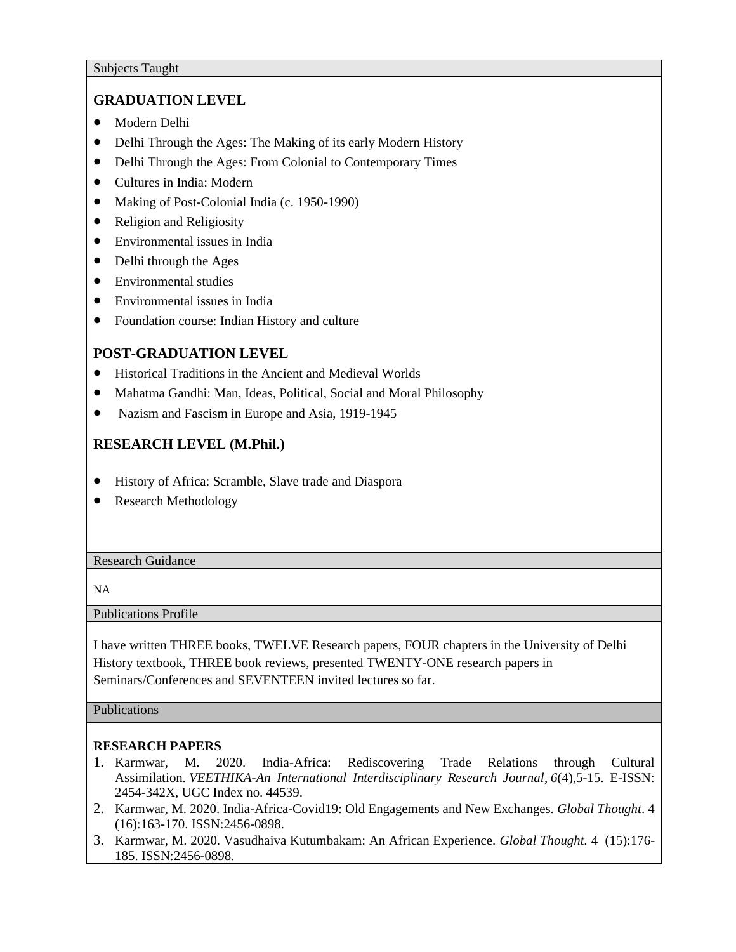## **GRADUATION LEVEL**

- Modern Delhi
- Delhi Through the Ages: The Making of its early Modern History
- Delhi Through the Ages: From Colonial to Contemporary Times
- Cultures in India: Modern
- Making of Post-Colonial India (c. 1950-1990)
- Religion and Religiosity
- Environmental issues in India
- Delhi through the Ages
- Environmental studies
- Environmental issues in India
- Foundation course: Indian History and culture

# **POST-GRADUATION LEVEL**

- Historical Traditions in the Ancient and Medieval Worlds
- Mahatma Gandhi: Man, Ideas, Political, Social and Moral Philosophy
- Nazism and Fascism in Europe and Asia, 1919-1945

# **RESEARCH LEVEL (M.Phil.)**

- History of Africa: Scramble, Slave trade and Diaspora
- Research Methodology

#### Research Guidance

NA

Publications Profile

I have written THREE books, TWELVE Research papers, FOUR chapters in the University of Delhi History textbook, THREE book reviews, presented TWENTY-ONE research papers in Seminars/Conferences and SEVENTEEN invited lectures so far.

#### Publications

### **RESEARCH PAPERS**

- 1. Karmwar, M. 2020. India-Africa: Rediscovering Trade Relations through Cultural Assimilation. *VEETHIKA-An International Interdisciplinary Research Journal*, *6*(4),5-15. E-ISSN: 2454-342X, UGC Index no. 44539.
- 2. Karmwar, M. 2020. India-Africa-Covid19: Old Engagements and New Exchanges. *Global Thought*. 4 (16):163-170. ISSN:2456-0898.
- 3. Karmwar, M. 2020. Vasudhaiva Kutumbakam: An African Experience. *Global Thought.* 4 (15):176- 185. ISSN:2456-0898.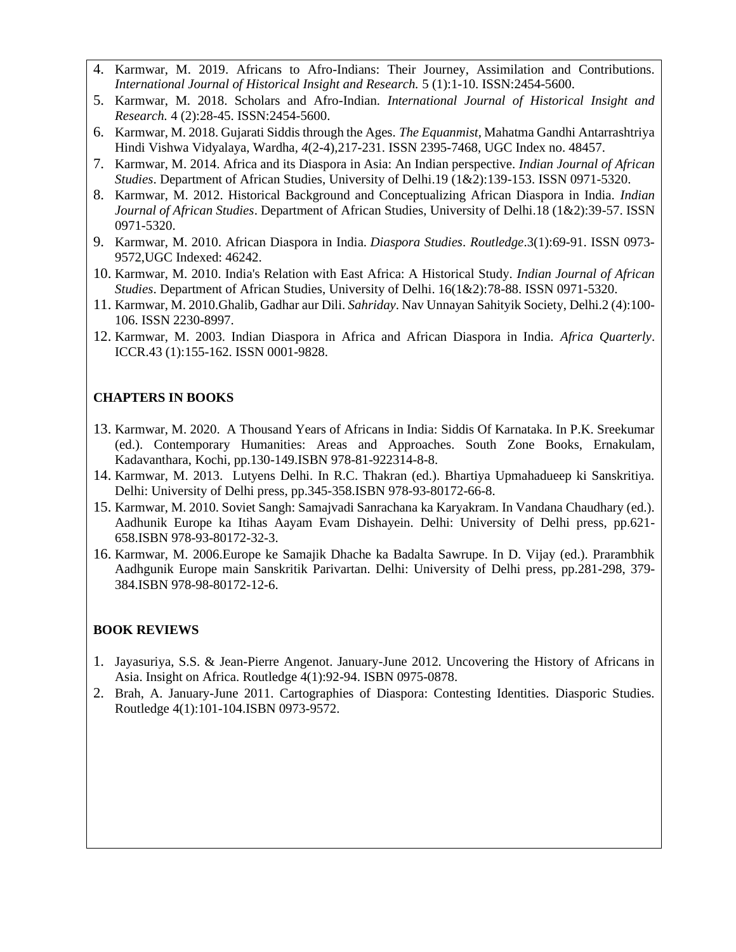- 4. Karmwar, M. 2019. Africans to Afro-Indians: Their Journey, Assimilation and Contributions. *International Journal of Historical Insight and Research.* 5 (1):1-10. ISSN:2454-5600.
- 5. Karmwar, M. 2018. Scholars and Afro-Indian. *International Journal of Historical Insight and Research.* 4 (2):28-45. ISSN:2454-5600.
- 6. Karmwar, M. 2018. Gujarati Siddis through the Ages. *The Equanmist*, Mahatma Gandhi Antarrashtriya Hindi Vishwa Vidyalaya, Wardha*, 4*(2-4),217-231. ISSN 2395-7468, UGC Index no. 48457.
- 7. Karmwar, M. 2014. Africa and its Diaspora in Asia: An Indian perspective. *Indian Journal of African Studies*. Department of African Studies, University of Delhi.19 (1&2):139-153. ISSN 0971-5320.
- 8. Karmwar, M. 2012. Historical Background and Conceptualizing African Diaspora in India. *Indian Journal of African Studies*. Department of African Studies, University of Delhi.18 (1&2):39-57. ISSN 0971-5320.
- 9. Karmwar, M. 2010. African Diaspora in India. *Diaspora Studies*. *Routledge*.3(1):69-91. ISSN 0973- 9572,UGC Indexed: 46242.
- 10. Karmwar, M. 2010. India's Relation with East Africa: A Historical Study*. Indian Journal of African Studies*. Department of African Studies, University of Delhi. 16(1&2):78-88. ISSN 0971-5320.
- 11. Karmwar, M. 2010.Ghalib, Gadhar aur Dili. *Sahriday*. Nav Unnayan Sahityik Society, Delhi.2 (4):100- 106. ISSN 2230-8997.
- 12. Karmwar, M. 2003. Indian Diaspora in Africa and African Diaspora in India. *Africa Quarterly*. ICCR.43 (1):155-162. ISSN 0001-9828.

#### **CHAPTERS IN BOOKS**

- 13. Karmwar, M. 2020. A Thousand Years of Africans in India: Siddis Of Karnataka. In P.K. Sreekumar (ed.). Contemporary Humanities: Areas and Approaches. South Zone Books, Ernakulam, Kadavanthara, Kochi, pp.130-149.ISBN 978-81-922314-8-8.
- 14. Karmwar, M. 2013. Lutyens Delhi. In R.C. Thakran (ed.). Bhartiya Upmahadueep ki Sanskritiya. Delhi: University of Delhi press, pp.345-358.ISBN 978-93-80172-66-8.
- 15. Karmwar, M. 2010. Soviet Sangh: Samajvadi Sanrachana ka Karyakram. In Vandana Chaudhary (ed.). Aadhunik Europe ka Itihas Aayam Evam Dishayein. Delhi: University of Delhi press, pp.621- 658.ISBN 978-93-80172-32-3.
- 16. Karmwar, M. 2006.Europe ke Samajik Dhache ka Badalta Sawrupe. In D. Vijay (ed.). Prarambhik Aadhgunik Europe main Sanskritik Parivartan. Delhi: University of Delhi press, pp.281-298, 379- 384.ISBN 978-98-80172-12-6.

#### **BOOK REVIEWS**

- 1. Jayasuriya, S.S. & Jean-Pierre Angenot. January-June 2012. Uncovering the History of Africans in Asia. Insight on Africa. Routledge 4(1):92-94. ISBN 0975-0878.
- 2. Brah, A. January-June 2011. Cartographies of Diaspora: Contesting Identities. Diasporic Studies. Routledge 4(1):101-104.ISBN 0973-9572.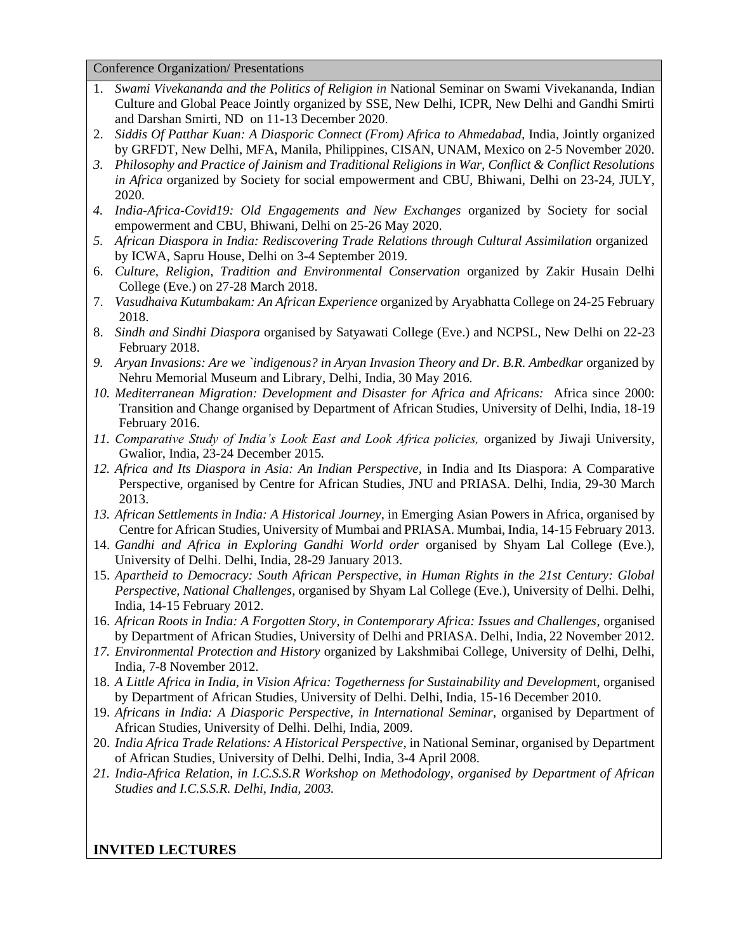Conference Organization/ Presentations

- 1. *Swami Vivekananda and the Politics of Religion in* National Seminar on Swami Vivekananda, Indian Culture and Global Peace Jointly organized by SSE, New Delhi, ICPR, New Delhi and Gandhi Smirti and Darshan Smirti, ND on 11-13 December 2020.
- 2. *Siddis Of Patthar Kuan: A Diasporic Connect (From) Africa to Ahmedabad,* India, Jointly organized by GRFDT, New Delhi, MFA, Manila, Philippines, CISAN, UNAM, Mexico on 2-5 November 2020.
- *3. Philosophy and Practice of Jainism and Traditional Religions in War, Conflict & Conflict Resolutions in Africa* organized by Society for social empowerment and CBU, Bhiwani, Delhi on 23-24, JULY, 2020.
- *4. India-Africa-Covid19: Old Engagements and New Exchanges* organized by Society for social empowerment and CBU, Bhiwani, Delhi on 25-26 May 2020.
- *5. African Diaspora in India: Rediscovering Trade Relations through Cultural Assimilation* organized by ICWA, Sapru House, Delhi on 3-4 September 2019.
- 6. *Culture, Religion, Tradition and Environmental Conservation* organized by Zakir Husain Delhi College (Eve.) on 27-28 March 2018.
- 7. *Vasudhaiva Kutumbakam: An African Experience* organized by Aryabhatta College on 24-25 February 2018.
- 8. *Sindh and Sindhi Diaspora* organised by Satyawati College (Eve.) and NCPSL, New Delhi on 22-23 February 2018.
- 9. Aryan Invasions: Are we `indigenous? in Aryan Invasion Theory and Dr. B.R. Ambedkar organized by Nehru Memorial Museum and Library, Delhi, India, 30 May 2016*.*
- *10. Mediterranean Migration: Development and Disaster for Africa and Africans:* Africa since 2000: Transition and Change organised by Department of African Studies, University of Delhi, India, 18-19 February 2016.
- *11. Comparative Study of India's Look East and Look Africa policies,* organized by Jiwaji University, Gwalior, India, 23-24 December 2015*.*
- *12. Africa and Its Diaspora in Asia: An Indian Perspective,* in India and Its Diaspora: A Comparative Perspective, organised by Centre for African Studies, JNU and PRIASA. Delhi, India, 29-30 March 2013.
- *13. African Settlements in India: A Historical Journey,* in Emerging Asian Powers in Africa, organised by Centre for African Studies, University of Mumbai and PRIASA. Mumbai, India, 14-15 February 2013.
- 14. *Gandhi and Africa in Exploring Gandhi World order* organised by Shyam Lal College (Eve.), University of Delhi. Delhi, India, 28-29 January 2013.
- 15. *Apartheid to Democracy: South African Perspective, in Human Rights in the 21st Century: Global Perspective, National Challenges*, organised by Shyam Lal College (Eve.), University of Delhi. Delhi, India, 14-15 February 2012.
- 16. *African Roots in India: A Forgotten Story, in Contemporary Africa: Issues and Challenges*, organised by Department of African Studies, University of Delhi and PRIASA. Delhi, India, 22 November 2012.
- *17. Environmental Protection and History* organized by Lakshmibai College, University of Delhi, Delhi, India, 7-8 November 2012.
- 18. *A Little Africa in India, in Vision Africa: Togetherness for Sustainability and Developmen*t, organised by Department of African Studies, University of Delhi. Delhi, India, 15-16 December 2010.
- 19. *Africans in India: A Diasporic Perspective, in International Seminar*, organised by Department of African Studies, University of Delhi. Delhi, India, 2009.
- 20. *India Africa Trade Relations: A Historical Perspective*, in National Seminar, organised by Department of African Studies, University of Delhi. Delhi, India, 3-4 April 2008.
- *21. India-Africa Relation, in I.C.S.S.R Workshop on Methodology, organised by Department of African Studies and I.C.S.S.R. Delhi, India, 2003.*

#### **INVITED LECTURES**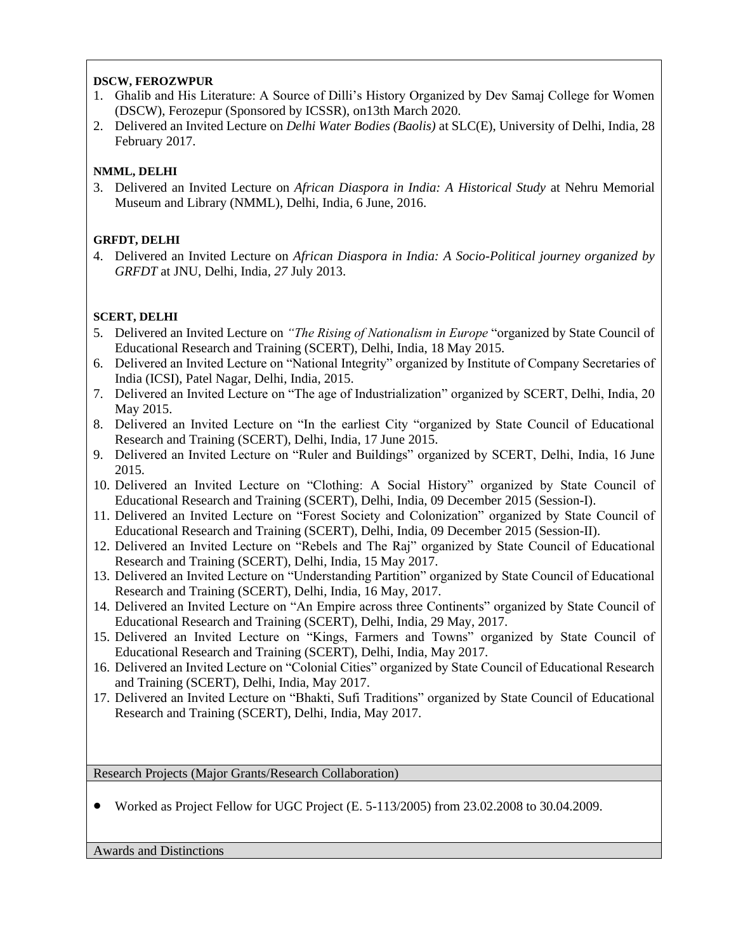#### **DSCW, FEROZWPUR**

- 1. Ghalib and His Literature: A Source of Dilli's History Organized by Dev Samaj College for Women (DSCW), Ferozepur (Sponsored by ICSSR), on13th March 2020.
- 2. Delivered an Invited Lecture on *Delhi Water Bodies (Baolis)* at SLC(E), University of Delhi, India, 28 February 2017.

#### **NMML, DELHI**

3. Delivered an Invited Lecture on *African Diaspora in India: A Historical Study* at Nehru Memorial Museum and Library (NMML), Delhi, India, 6 June, 2016.

#### **GRFDT, DELHI**

4. Delivered an Invited Lecture on *African Diaspora in India: A Socio-Political journey organized by GRFDT* at JNU, Delhi, India*, 27* July 2013.

#### **SCERT, DELHI**

- 5. Delivered an Invited Lecture on *"The Rising of Nationalism in Europe* "organized by State Council of Educational Research and Training (SCERT), Delhi, India, 18 May 2015.
- 6. Delivered an Invited Lecture on "National Integrity" organized by Institute of Company Secretaries of India (ICSI), Patel Nagar, Delhi, India, 2015.
- 7. Delivered an Invited Lecture on "The age of Industrialization" organized by SCERT, Delhi, India, 20 May 2015.
- 8. Delivered an Invited Lecture on "In the earliest City "organized by State Council of Educational Research and Training (SCERT), Delhi, India, 17 June 2015.
- 9. Delivered an Invited Lecture on "Ruler and Buildings" organized by SCERT, Delhi, India, 16 June 2015.
- 10. Delivered an Invited Lecture on "Clothing: A Social History" organized by State Council of Educational Research and Training (SCERT), Delhi, India, 09 December 2015 (Session-I).
- 11. Delivered an Invited Lecture on "Forest Society and Colonization" organized by State Council of Educational Research and Training (SCERT), Delhi, India, 09 December 2015 (Session-II).
- 12. Delivered an Invited Lecture on "Rebels and The Raj" organized by State Council of Educational Research and Training (SCERT), Delhi, India, 15 May 2017.
- 13. Delivered an Invited Lecture on "Understanding Partition" organized by State Council of Educational Research and Training (SCERT), Delhi, India, 16 May, 2017.
- 14. Delivered an Invited Lecture on "An Empire across three Continents" organized by State Council of Educational Research and Training (SCERT), Delhi, India, 29 May, 2017.
- 15. Delivered an Invited Lecture on "Kings, Farmers and Towns" organized by State Council of Educational Research and Training (SCERT), Delhi, India, May 2017.
- 16. Delivered an Invited Lecture on "Colonial Cities" organized by State Council of Educational Research and Training (SCERT), Delhi, India, May 2017.
- 17. Delivered an Invited Lecture on "Bhakti, Sufi Traditions" organized by State Council of Educational Research and Training (SCERT), Delhi, India, May 2017.

Research Projects (Major Grants/Research Collaboration)

• Worked as Project Fellow for UGC Project (E. 5-113/2005) from 23.02.2008 to 30.04.2009.

Awards and Distinctions